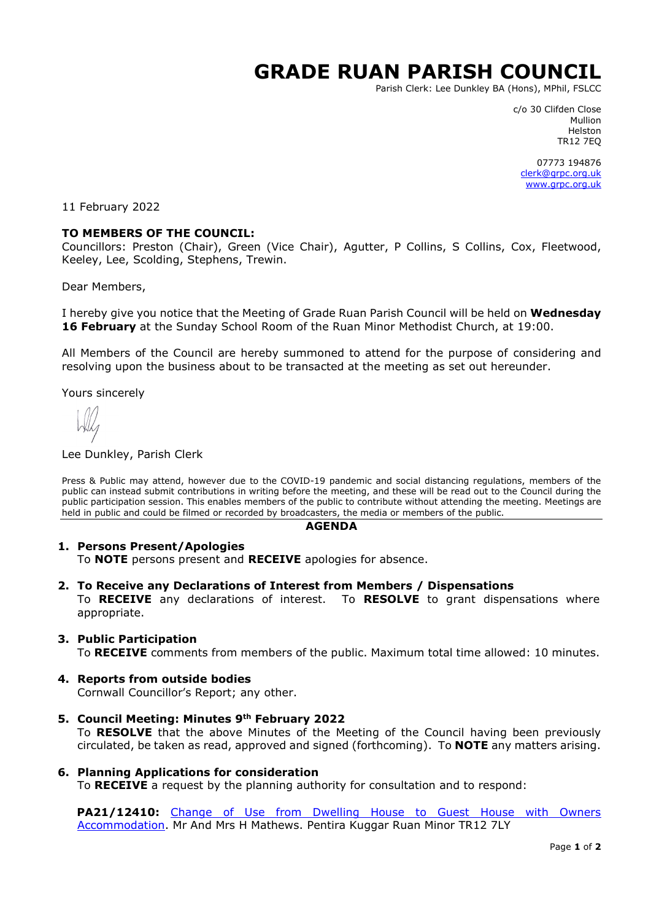# **GRADE RUAN PARISH COUNCIL**

Parish Clerk: Lee Dunkley BA (Hons), MPhil, FSLCC

c/o 30 Clifden Close Mullion Helston TR12 7EQ

07773 194876 [clerk@grpc.org.uk](mailto:clerk@grpc.org.uk) [www.grpc.org.uk](http://www.grpc.org.uk/)

11 February 2022

## **TO MEMBERS OF THE COUNCIL:**

Councillors: Preston (Chair), Green (Vice Chair), Agutter, P Collins, S Collins, Cox, Fleetwood, Keeley, Lee, Scolding, Stephens, Trewin.

Dear Members,

I hereby give you notice that the Meeting of Grade Ruan Parish Council will be held on **Wednesday 16 February** at the Sunday School Room of the Ruan Minor Methodist Church, at 19:00.

All Members of the Council are hereby summoned to attend for the purpose of considering and resolving upon the business about to be transacted at the meeting as set out hereunder.

Yours sincerely

#### Lee Dunkley, Parish Clerk

Press & Public may attend, however due to the COVID-19 pandemic and social distancing regulations, members of the public can instead submit contributions in writing before the meeting, and these will be read out to the Council during the public participation session. This enables members of the public to contribute without attending the meeting. Meetings are held in public and could be filmed or recorded by broadcasters, the media or members of the public.

#### **AGENDA**

### **1. Persons Present/Apologies**

To **NOTE** persons present and **RECEIVE** apologies for absence.

**2. To Receive any Declarations of Interest from Members / Dispensations**

To **RECEIVE** any declarations of interest. To **RESOLVE** to grant dispensations where appropriate.

## **3. Public Participation**

To **RECEIVE** comments from members of the public. Maximum total time allowed: 10 minutes.

**4. Reports from outside bodies**

Cornwall Councillor's Report; any other.

- **5. Council Meeting: Minutes 9th February 2022** To **RESOLVE** that the above Minutes of the Meeting of the Council having been previously circulated, be taken as read, approved and signed (forthcoming). To **NOTE** any matters arising.
- **6. Planning Applications for consideration**

To **RECEIVE** a request by the planning authority for consultation and to respond:

**PA21/12410:** [Change of Use from Dwelling House to Guest House with Owners](https://planning.cornwall.gov.uk/online-applications/applicationDetails.do?activeTab=documents&keyVal=R45BJEFGJIS00&prevPage=inTray) [Accommodation.](https://planning.cornwall.gov.uk/online-applications/applicationDetails.do?activeTab=documents&keyVal=R45BJEFGJIS00&prevPage=inTray) Mr And Mrs H Mathews. Pentira Kuggar Ruan Minor TR12 7LY